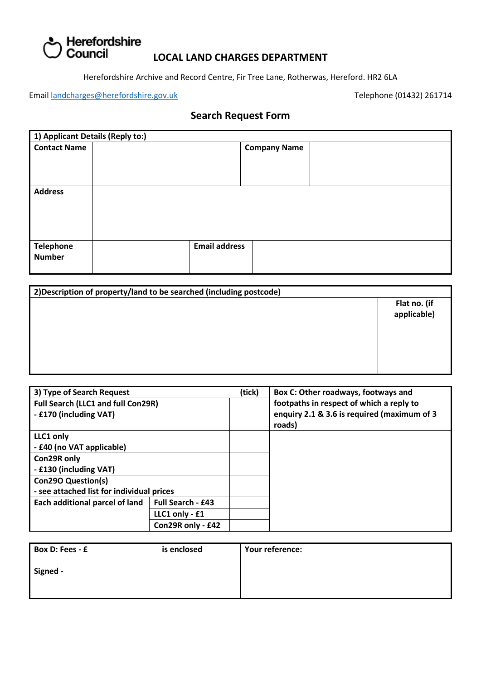# ) Herefordshire<br>) Council

### **LOCAL LAND CHARGES DEPARTMENT**

Herefordshire Archive and Record Centre, Fir Tree Lane, Rotherwas, Hereford. HR2 6LA

Email [landcharges@herefordshire.gov.uk](mailto:landcharges@herefordshire.gov.uk) Telephone (01432) 261714

## **Search Request Form**

| 1) Applicant Details (Reply to:) |                      |                     |  |
|----------------------------------|----------------------|---------------------|--|
| <b>Contact Name</b>              |                      | <b>Company Name</b> |  |
|                                  |                      |                     |  |
|                                  |                      |                     |  |
|                                  |                      |                     |  |
| <b>Address</b>                   |                      |                     |  |
|                                  |                      |                     |  |
|                                  |                      |                     |  |
|                                  |                      |                     |  |
|                                  | <b>Email address</b> |                     |  |
| <b>Telephone</b>                 |                      |                     |  |
| <b>Number</b>                    |                      |                     |  |
|                                  |                      |                     |  |

| 2) Description of property/land to be searched (including postcode) |                             |
|---------------------------------------------------------------------|-----------------------------|
|                                                                     | Flat no. (if<br>applicable) |
|                                                                     |                             |
|                                                                     |                             |
|                                                                     |                             |

| 3) Type of Search Request                 |                          | (tick) | Box C: Other roadways, footways and         |
|-------------------------------------------|--------------------------|--------|---------------------------------------------|
| Full Search (LLC1 and full Con29R)        |                          |        | footpaths in respect of which a reply to    |
| - £170 (including VAT)                    |                          |        | enquiry 2.1 & 3.6 is required (maximum of 3 |
|                                           |                          |        | roads)                                      |
| LLC1 only                                 |                          |        |                                             |
| - £40 (no VAT applicable)                 |                          |        |                                             |
| Con29R only                               |                          |        |                                             |
| - £130 (including VAT)                    |                          |        |                                             |
| <b>Con290 Question(s)</b>                 |                          |        |                                             |
| - see attached list for individual prices |                          |        |                                             |
| Each additional parcel of land            | <b>Full Search - £43</b> |        |                                             |
|                                           | LLC1 only - £1           |        |                                             |
|                                           | Con29R only - £42        |        |                                             |

| Box D: Fees - £ | is enclosed | Your reference: |
|-----------------|-------------|-----------------|
| Signed -        |             |                 |
|                 |             |                 |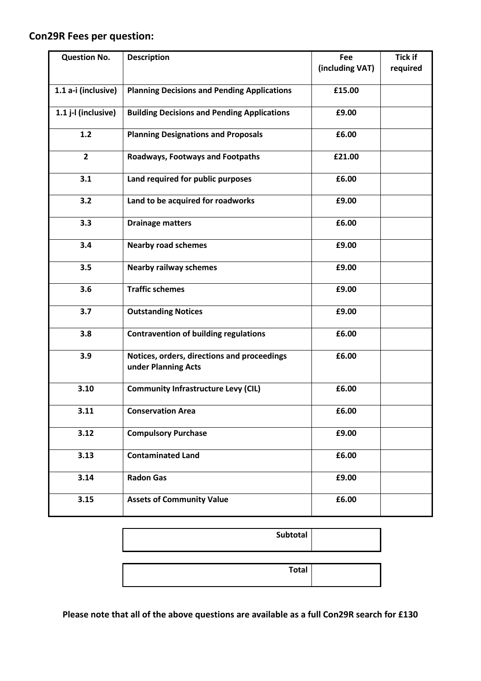## **Con29R Fees per question:**

| <b>Question No.</b> | <b>Description</b>                                                 | Fee             | <b>Tick if</b> |
|---------------------|--------------------------------------------------------------------|-----------------|----------------|
|                     |                                                                    | (including VAT) | required       |
| 1.1 a-i (inclusive) | <b>Planning Decisions and Pending Applications</b>                 | £15.00          |                |
| 1.1 j-l (inclusive) | <b>Building Decisions and Pending Applications</b>                 | £9.00           |                |
| 1.2                 | <b>Planning Designations and Proposals</b>                         | £6.00           |                |
| $\overline{2}$      | Roadways, Footways and Footpaths                                   | £21.00          |                |
| 3.1                 | Land required for public purposes                                  | £6.00           |                |
| 3.2                 | Land to be acquired for roadworks                                  | £9.00           |                |
| 3.3                 | <b>Drainage matters</b>                                            | £6.00           |                |
| 3.4                 | <b>Nearby road schemes</b>                                         | £9.00           |                |
| 3.5                 | <b>Nearby railway schemes</b>                                      | £9.00           |                |
| 3.6                 | <b>Traffic schemes</b>                                             | £9.00           |                |
| 3.7                 | <b>Outstanding Notices</b>                                         | £9.00           |                |
| 3.8                 | <b>Contravention of building regulations</b>                       | £6.00           |                |
| 3.9                 | Notices, orders, directions and proceedings<br>under Planning Acts | £6.00           |                |
| 3.10                | <b>Community Infrastructure Levy (CIL)</b>                         | £6.00           |                |
| 3.11                | <b>Conservation Area</b>                                           | £6.00           |                |
| 3.12                | <b>Compulsory Purchase</b>                                         | £9.00           |                |
| 3.13                | <b>Contaminated Land</b>                                           | £6.00           |                |
| 3.14                | <b>Radon Gas</b>                                                   | £9.00           |                |
| 3.15                | <b>Assets of Community Value</b>                                   | £6.00           |                |

| Subtotal     |  |
|--------------|--|
| <b>Total</b> |  |

**Please note that all of the above questions are available as a full Con29R search for £130**